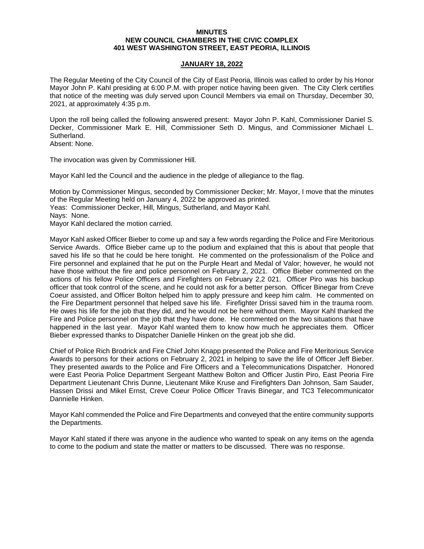### **MINUTES NEW COUNCIL CHAMBERS IN THE CIVIC COMPLEX 401 WEST WASHINGTON STREET, EAST PEORIA, ILLINOIS**

## **JANUARY 18, 2022**

The Regular Meeting of the City Council of the City of East Peoria, Illinois was called to order by his Honor Mayor John P. Kahl presiding at 6:00 P.M. with proper notice having been given. The City Clerk certifies that notice of the meeting was duly served upon Council Members via email on Thursday, December 30, 2021, at approximately 4:35 p.m.

Upon the roll being called the following answered present: Mayor John P. Kahl, Commissioner Daniel S. Decker, Commissioner Mark E. Hill, Commissioner Seth D. Mingus, and Commissioner Michael L. Sutherland.

Absent: None.

The invocation was given by Commissioner Hill.

Mayor Kahl led the Council and the audience in the pledge of allegiance to the flag.

Motion by Commissioner Mingus, seconded by Commissioner Decker; Mr. Mayor, I move that the minutes of the Regular Meeting held on January 4, 2022 be approved as printed. Yeas: Commissioner Decker, Hill, Mingus, Sutherland, and Mayor Kahl. Nays: None. Mayor Kahl declared the motion carried.

Mayor Kahl asked Officer Bieber to come up and say a few words regarding the Police and Fire Meritorious Service Awards. Office Bieber came up to the podium and explained that this is about that people that saved his life so that he could be here tonight. He commented on the professionalism of the Police and Fire personnel and explained that he put on the Purple Heart and Medal of Valor; however, he would not have those without the fire and police personnel on February 2, 2021. Office Bieber commented on the actions of his fellow Police Officers and Firefighters on February 2,2 021. Officer Piro was his backup officer that took control of the scene, and he could not ask for a better person. Officer Binegar from Creve Coeur assisted, and Officer Bolton helped him to apply pressure and keep him calm. He commented on the Fire Department personnel that helped save his life. Firefighter Drissi saved him in the trauma room. He owes his life for the job that they did, and he would not be here without them. Mayor Kahl thanked the Fire and Police personnel on the job that they have done. He commented on the two situations that have happened in the last year. Mayor Kahl wanted them to know how much he appreciates them. Officer Bieber expressed thanks to Dispatcher Danielle Hinken on the great job she did.

Chief of Police Rich Brodrick and Fire Chief John Knapp presented the Police and Fire Meritorious Service Awards to persons for their actions on February 2, 2021 in helping to save the life of Officer Jeff Bieber. They presented awards to the Police and Fire Officers and a Telecommunications Dispatcher. Honored were East Peoria Police Department Sergeant Matthew Bolton and Officer Justin Piro, East Peoria Fire Department Lieutenant Chris Dunne, Lieutenant Mike Kruse and Firefighters Dan Johnson, Sam Sauder, Hassen Drissi and Mikel Ernst, Creve Coeur Police Officer Travis Binegar, and TC3 Telecommunicator Dannielle Hinken.

Mayor Kahl commended the Police and Fire Departments and conveyed that the entire community supports the Departments.

Mayor Kahl stated if there was anyone in the audience who wanted to speak on any items on the agenda to come to the podium and state the matter or matters to be discussed. There was no response.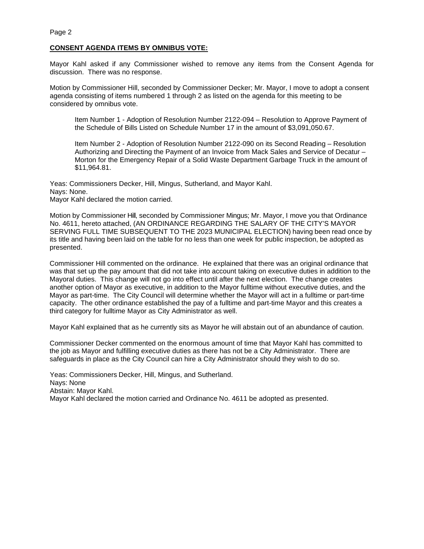# **CONSENT AGENDA ITEMS BY OMNIBUS VOTE:**

Mayor Kahl asked if any Commissioner wished to remove any items from the Consent Agenda for discussion. There was no response.

Motion by Commissioner Hill, seconded by Commissioner Decker; Mr. Mayor, I move to adopt a consent agenda consisting of items numbered 1 through 2 as listed on the agenda for this meeting to be considered by omnibus vote.

Item Number 1 - Adoption of Resolution Number 2122-094 – Resolution to Approve Payment of the Schedule of Bills Listed on Schedule Number 17 in the amount of \$3,091,050.67.

Item Number 2 - Adoption of Resolution Number 2122-090 on its Second Reading – Resolution Authorizing and Directing the Payment of an Invoice from Mack Sales and Service of Decatur – Morton for the Emergency Repair of a Solid Waste Department Garbage Truck in the amount of \$11,964.81.

Yeas: Commissioners Decker, Hill, Mingus, Sutherland, and Mayor Kahl. Nays: None. Mayor Kahl declared the motion carried.

Motion by Commissioner Hill, seconded by Commissioner Mingus; Mr. Mayor, I move you that Ordinance No. 4611, hereto attached, (AN ORDINANCE REGARDING THE SALARY OF THE CITY'S MAYOR SERVING FULL TIME SUBSEQUENT TO THE 2023 MUNICIPAL ELECTION) having been read once by its title and having been laid on the table for no less than one week for public inspection, be adopted as presented.

Commissioner Hill commented on the ordinance. He explained that there was an original ordinance that was that set up the pay amount that did not take into account taking on executive duties in addition to the Mayoral duties. This change will not go into effect until after the next election. The change creates another option of Mayor as executive, in addition to the Mayor fulltime without executive duties, and the Mayor as part-time. The City Council will determine whether the Mayor will act in a fulltime or part-time capacity. The other ordinance established the pay of a fulltime and part-time Mayor and this creates a third category for fulltime Mayor as City Administrator as well.

Mayor Kahl explained that as he currently sits as Mayor he will abstain out of an abundance of caution.

Commissioner Decker commented on the enormous amount of time that Mayor Kahl has committed to the job as Mayor and fulfilling executive duties as there has not be a City Administrator. There are safeguards in place as the City Council can hire a City Administrator should they wish to do so.

Yeas: Commissioners Decker, Hill, Mingus, and Sutherland. Nays: None Abstain: Mayor Kahl. Mayor Kahl declared the motion carried and Ordinance No. 4611 be adopted as presented.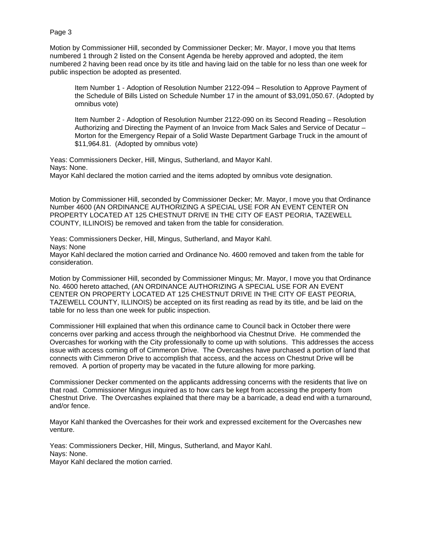Motion by Commissioner Hill, seconded by Commissioner Decker; Mr. Mayor, I move you that Items numbered 1 through 2 listed on the Consent Agenda be hereby approved and adopted, the item numbered 2 having been read once by its title and having laid on the table for no less than one week for public inspection be adopted as presented.

Item Number 1 - Adoption of Resolution Number 2122-094 – Resolution to Approve Payment of the Schedule of Bills Listed on Schedule Number 17 in the amount of \$3,091,050.67. (Adopted by omnibus vote)

Item Number 2 - Adoption of Resolution Number 2122-090 on its Second Reading – Resolution Authorizing and Directing the Payment of an Invoice from Mack Sales and Service of Decatur – Morton for the Emergency Repair of a Solid Waste Department Garbage Truck in the amount of \$11,964.81. (Adopted by omnibus vote)

Yeas: Commissioners Decker, Hill, Mingus, Sutherland, and Mayor Kahl. Nays: None. Mayor Kahl declared the motion carried and the items adopted by omnibus vote designation.

Motion by Commissioner Hill, seconded by Commissioner Decker; Mr. Mayor, I move you that Ordinance Number 4600 (AN ORDINANCE AUTHORIZING A SPECIAL USE FOR AN EVENT CENTER ON PROPERTY LOCATED AT 125 CHESTNUT DRIVE IN THE CITY OF EAST PEORIA, TAZEWELL COUNTY, ILLINOIS) be removed and taken from the table for consideration.

Yeas: Commissioners Decker, Hill, Mingus, Sutherland, and Mayor Kahl. Nays: None Mayor Kahl declared the motion carried and Ordinance No. 4600 removed and taken from the table for consideration.

Motion by Commissioner Hill, seconded by Commissioner Mingus; Mr. Mayor, I move you that Ordinance No. 4600 hereto attached, (AN ORDINANCE AUTHORIZING A SPECIAL USE FOR AN EVENT CENTER ON PROPERTY LOCATED AT 125 CHESTNUT DRIVE IN THE CITY OF EAST PEORIA, TAZEWELL COUNTY, ILLINOIS) be accepted on its first reading as read by its title, and be laid on the table for no less than one week for public inspection.

Commissioner Hill explained that when this ordinance came to Council back in October there were concerns over parking and access through the neighborhood via Chestnut Drive. He commended the Overcashes for working with the City professionally to come up with solutions. This addresses the access issue with access coming off of Cimmeron Drive. The Overcashes have purchased a portion of land that connects with Cimmeron Drive to accomplish that access, and the access on Chestnut Drive will be removed. A portion of property may be vacated in the future allowing for more parking.

Commissioner Decker commented on the applicants addressing concerns with the residents that live on that road. Commissioner Mingus inquired as to how cars be kept from accessing the property from Chestnut Drive. The Overcashes explained that there may be a barricade, a dead end with a turnaround, and/or fence.

Mayor Kahl thanked the Overcashes for their work and expressed excitement for the Overcashes new venture.

Yeas: Commissioners Decker, Hill, Mingus, Sutherland, and Mayor Kahl. Nays: None. Mayor Kahl declared the motion carried.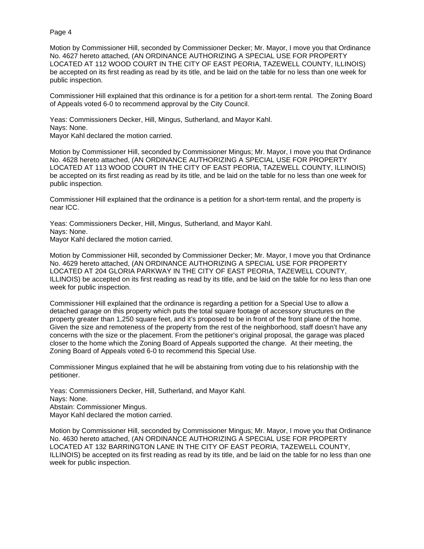Motion by Commissioner Hill, seconded by Commissioner Decker; Mr. Mayor, I move you that Ordinance No. 4627 hereto attached, (AN ORDINANCE AUTHORIZING A SPECIAL USE FOR PROPERTY LOCATED AT 112 WOOD COURT IN THE CITY OF EAST PEORIA, TAZEWELL COUNTY, ILLINOIS) be accepted on its first reading as read by its title, and be laid on the table for no less than one week for public inspection.

Commissioner Hill explained that this ordinance is for a petition for a short-term rental. The Zoning Board of Appeals voted 6-0 to recommend approval by the City Council.

Yeas: Commissioners Decker, Hill, Mingus, Sutherland, and Mayor Kahl. Nays: None. Mayor Kahl declared the motion carried.

Motion by Commissioner Hill, seconded by Commissioner Mingus; Mr. Mayor, I move you that Ordinance No. 4628 hereto attached, (AN ORDINANCE AUTHORIZING A SPECIAL USE FOR PROPERTY LOCATED AT 113 WOOD COURT IN THE CITY OF EAST PEORIA, TAZEWELL COUNTY, ILLINOIS) be accepted on its first reading as read by its title, and be laid on the table for no less than one week for public inspection.

Commissioner Hill explained that the ordinance is a petition for a short-term rental, and the property is near ICC.

Yeas: Commissioners Decker, Hill, Mingus, Sutherland, and Mayor Kahl. Nays: None. Mayor Kahl declared the motion carried.

Motion by Commissioner Hill, seconded by Commissioner Decker; Mr. Mayor, I move you that Ordinance No. 4629 hereto attached, (AN ORDINANCE AUTHORIZING A SPECIAL USE FOR PROPERTY LOCATED AT 204 GLORIA PARKWAY IN THE CITY OF EAST PEORIA, TAZEWELL COUNTY, ILLINOIS) be accepted on its first reading as read by its title, and be laid on the table for no less than one week for public inspection.

Commissioner Hill explained that the ordinance is regarding a petition for a Special Use to allow a detached garage on this property which puts the total square footage of accessory structures on the property greater than 1,250 square feet, and it's proposed to be in front of the front plane of the home. Given the size and remoteness of the property from the rest of the neighborhood, staff doesn't have any concerns with the size or the placement. From the petitioner's original proposal, the garage was placed closer to the home which the Zoning Board of Appeals supported the change. At their meeting, the Zoning Board of Appeals voted 6-0 to recommend this Special Use.

Commissioner Mingus explained that he will be abstaining from voting due to his relationship with the petitioner.

Yeas: Commissioners Decker, Hill, Sutherland, and Mayor Kahl. Nays: None. Abstain: Commissioner Mingus. Mayor Kahl declared the motion carried.

Motion by Commissioner Hill, seconded by Commissioner Mingus; Mr. Mayor, I move you that Ordinance No. 4630 hereto attached, (AN ORDINANCE AUTHORIZING A SPECIAL USE FOR PROPERTY LOCATED AT 132 BARRINGTON LANE IN THE CITY OF EAST PEORIA, TAZEWELL COUNTY, ILLINOIS) be accepted on its first reading as read by its title, and be laid on the table for no less than one week for public inspection.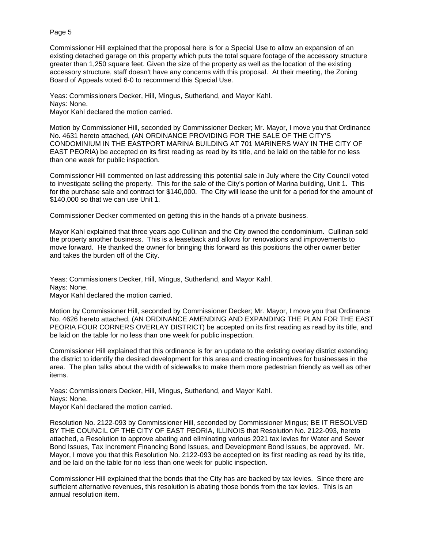Commissioner Hill explained that the proposal here is for a Special Use to allow an expansion of an existing detached garage on this property which puts the total square footage of the accessory structure greater than 1,250 square feet. Given the size of the property as well as the location of the existing accessory structure, staff doesn't have any concerns with this proposal. At their meeting, the Zoning Board of Appeals voted 6-0 to recommend this Special Use.

Yeas: Commissioners Decker, Hill, Mingus, Sutherland, and Mayor Kahl. Nays: None. Mayor Kahl declared the motion carried.

Motion by Commissioner Hill, seconded by Commissioner Decker; Mr. Mayor, I move you that Ordinance No. 4631 hereto attached, (AN ORDINANCE PROVIDING FOR THE SALE OF THE CITY'S CONDOMINIUM IN THE EASTPORT MARINA BUILDING AT 701 MARINERS WAY IN THE CITY OF EAST PEORIA) be accepted on its first reading as read by its title, and be laid on the table for no less than one week for public inspection.

Commissioner Hill commented on last addressing this potential sale in July where the City Council voted to investigate selling the property. This for the sale of the City's portion of Marina building, Unit 1. This for the purchase sale and contract for \$140,000. The City will lease the unit for a period for the amount of \$140,000 so that we can use Unit 1.

Commissioner Decker commented on getting this in the hands of a private business.

Mayor Kahl explained that three years ago Cullinan and the City owned the condominium. Cullinan sold the property another business. This is a leaseback and allows for renovations and improvements to move forward. He thanked the owner for bringing this forward as this positions the other owner better and takes the burden off of the City.

Yeas: Commissioners Decker, Hill, Mingus, Sutherland, and Mayor Kahl. Nays: None. Mayor Kahl declared the motion carried.

Motion by Commissioner Hill, seconded by Commissioner Decker; Mr. Mayor, I move you that Ordinance No. 4626 hereto attached, (AN ORDINANCE AMENDING AND EXPANDING THE PLAN FOR THE EAST PEORIA FOUR CORNERS OVERLAY DISTRICT) be accepted on its first reading as read by its title, and be laid on the table for no less than one week for public inspection.

Commissioner Hill explained that this ordinance is for an update to the existing overlay district extending the district to identify the desired development for this area and creating incentives for businesses in the area. The plan talks about the width of sidewalks to make them more pedestrian friendly as well as other items.

Yeas: Commissioners Decker, Hill, Mingus, Sutherland, and Mayor Kahl. Nays: None. Mayor Kahl declared the motion carried.

Resolution No. 2122-093 by Commissioner Hill, seconded by Commissioner Mingus; BE IT RESOLVED BY THE COUNCIL OF THE CITY OF EAST PEORIA, ILLINOIS that Resolution No. 2122-093, hereto attached, a Resolution to approve abating and eliminating various 2021 tax levies for Water and Sewer Bond Issues, Tax Increment Financing Bond Issues, and Development Bond Issues, be approved. Mr. Mayor, I move you that this Resolution No. 2122-093 be accepted on its first reading as read by its title, and be laid on the table for no less than one week for public inspection.

Commissioner Hill explained that the bonds that the City has are backed by tax levies. Since there are sufficient alternative revenues, this resolution is abating those bonds from the tax levies. This is an annual resolution item.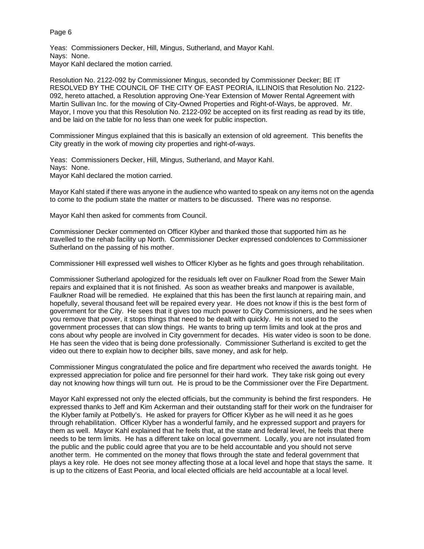Yeas: Commissioners Decker, Hill, Mingus, Sutherland, and Mayor Kahl. Nays: None. Mayor Kahl declared the motion carried.

Resolution No. 2122-092 by Commissioner Mingus, seconded by Commissioner Decker; BE IT RESOLVED BY THE COUNCIL OF THE CITY OF EAST PEORIA, ILLINOIS that Resolution No. 2122- 092, hereto attached, a Resolution approving One-Year Extension of Mower Rental Agreement with Martin Sullivan Inc. for the mowing of City-Owned Properties and Right-of-Ways, be approved. Mr. Mayor, I move you that this Resolution No. 2122-092 be accepted on its first reading as read by its title, and be laid on the table for no less than one week for public inspection.

Commissioner Mingus explained that this is basically an extension of old agreement. This benefits the City greatly in the work of mowing city properties and right-of-ways.

Yeas: Commissioners Decker, Hill, Mingus, Sutherland, and Mayor Kahl. Nays: None. Mayor Kahl declared the motion carried.

Mayor Kahl stated if there was anyone in the audience who wanted to speak on any items not on the agenda to come to the podium state the matter or matters to be discussed. There was no response.

Mayor Kahl then asked for comments from Council.

Commissioner Decker commented on Officer Klyber and thanked those that supported him as he travelled to the rehab facility up North. Commissioner Decker expressed condolences to Commissioner Sutherland on the passing of his mother.

Commissioner Hill expressed well wishes to Officer Klyber as he fights and goes through rehabilitation.

Commissioner Sutherland apologized for the residuals left over on Faulkner Road from the Sewer Main repairs and explained that it is not finished. As soon as weather breaks and manpower is available, Faulkner Road will be remedied. He explained that this has been the first launch at repairing main, and hopefully, several thousand feet will be repaired every year. He does not know if this is the best form of government for the City. He sees that it gives too much power to City Commissioners, and he sees when you remove that power, it stops things that need to be dealt with quickly. He is not used to the government processes that can slow things. He wants to bring up term limits and look at the pros and cons about why people are involved in City government for decades. His water video is soon to be done. He has seen the video that is being done professionally. Commissioner Sutherland is excited to get the video out there to explain how to decipher bills, save money, and ask for help.

Commissioner Mingus congratulated the police and fire department who received the awards tonight. He expressed appreciation for police and fire personnel for their hard work. They take risk going out every day not knowing how things will turn out. He is proud to be the Commissioner over the Fire Department.

Mayor Kahl expressed not only the elected officials, but the community is behind the first responders. He expressed thanks to Jeff and Kim Ackerman and their outstanding staff for their work on the fundraiser for the Klyber family at Potbelly's. He asked for prayers for Officer Klyber as he will need it as he goes through rehabilitation. Officer Klyber has a wonderful family, and he expressed support and prayers for them as well. Mayor Kahl explained that he feels that, at the state and federal level, he feels that there needs to be term limits. He has a different take on local government. Locally, you are not insulated from the public and the public could agree that you are to be held accountable and you should not serve another term. He commented on the money that flows through the state and federal government that plays a key role. He does not see money affecting those at a local level and hope that stays the same. It is up to the citizens of East Peoria, and local elected officials are held accountable at a local level.